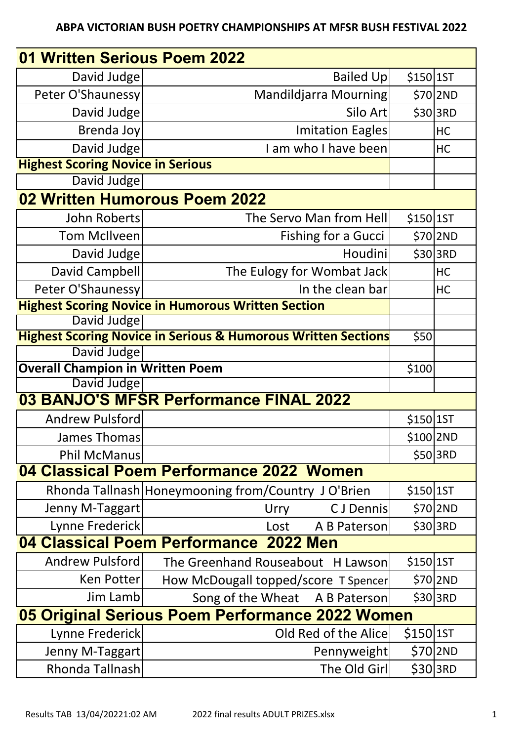## **ABPA VICTORIAN BUSH POETRY CHAMPIONSHIPS AT MFSR BUSH FESTIVAL 2022**

| 01 Written Serious Poem 2022                           |                                                                          |             |            |  |  |
|--------------------------------------------------------|--------------------------------------------------------------------------|-------------|------------|--|--|
| David Judge                                            | <b>Bailed Up</b>                                                         | $$150$  1ST |            |  |  |
| Peter O'Shaunessy                                      | Mandildjarra Mourning                                                    |             | $$70$  2ND |  |  |
| David Judge                                            | Silo Art                                                                 |             | \$30 3RD   |  |  |
| Brenda Joy                                             | Imitation Eagles                                                         |             | HC         |  |  |
| David Judge                                            | I am who I have been                                                     |             | HC         |  |  |
| <b>Highest Scoring Novice in Serious</b>               |                                                                          |             |            |  |  |
| David Judge                                            |                                                                          |             |            |  |  |
| 02 Written Humorous Poem 2022                          |                                                                          |             |            |  |  |
| John Roberts                                           | The Servo Man from Hell                                                  | $$150$  1ST |            |  |  |
| Tom McIlveen                                           | <b>Fishing for a Gucci</b>                                               |             | \$70 2ND   |  |  |
| David Judge                                            | <b>Houdini</b>                                                           |             | \$30 3RD   |  |  |
| David Campbell                                         | The Eulogy for Wombat Jack                                               |             | HC         |  |  |
| Peter O'Shaunessy                                      | In the clean bar                                                         |             | HC         |  |  |
|                                                        | <b>Highest Scoring Novice in Humorous Written Section</b>                |             |            |  |  |
| David Judge                                            |                                                                          |             |            |  |  |
|                                                        | <b>Highest Scoring Novice in Serious &amp; Humorous Written Sections</b> | \$50        |            |  |  |
| David Judge                                            |                                                                          |             |            |  |  |
| <b>Overall Champion in Written Poem</b><br>David Judge |                                                                          | \$100       |            |  |  |
|                                                        | 03 BANJO'S MFSR Performance FINAL 2022                                   |             |            |  |  |
| Andrew Pulsford                                        |                                                                          | \$150 1ST   |            |  |  |
| James Thomas                                           |                                                                          | \$100 2ND   |            |  |  |
| <b>Phil McManus</b>                                    |                                                                          |             | \$50 3RD   |  |  |
|                                                        | 04 Classical Poem Performance 2022 Women                                 |             |            |  |  |
|                                                        | Rhonda Tallnash   Honeymooning from/Country JO'Brien                     | $$150$  1ST |            |  |  |
| Jenny M-Taggart                                        | C J Dennis<br>Urry                                                       |             | \$70 2ND   |  |  |
| Lynne Frederick                                        | A B Paterson<br>Lost                                                     |             | \$30 3RD   |  |  |
|                                                        | 04 Classical Poem Performance 2022 Men                                   |             |            |  |  |
| Andrew Pulsford                                        | The Greenhand Rouseabout H Lawson                                        | \$150 15T   |            |  |  |
| Ken Potter                                             | How McDougall topped/score T Spencer                                     |             | \$70 2ND   |  |  |
| Jim Lamb                                               | Song of the Wheat A B Paterson                                           |             | \$30 3RD   |  |  |
| 05 Original Serious Poem Performance 2022 Women        |                                                                          |             |            |  |  |
| Lynne Frederick                                        | Old Red of the Alice                                                     | $$150$  1ST |            |  |  |
| Jenny M-Taggart                                        | Pennyweight                                                              |             | \$70 2ND   |  |  |
| Rhonda Tallnash                                        | The Old Girl                                                             |             | \$30 3RD   |  |  |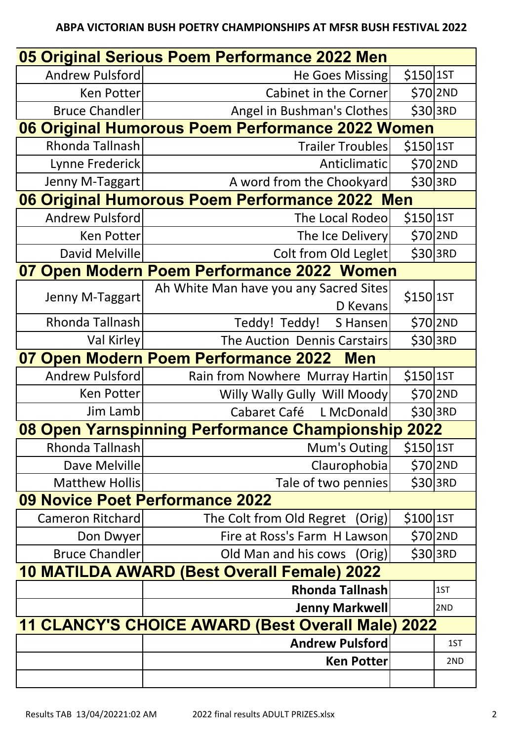## **ABPA VICTORIAN BUSH POETRY CHAMPIONSHIPS AT MFSR BUSH FESTIVAL 2022**

| 05 Original Serious Poem Performance 2022 Men            |                                                    |             |          |  |  |  |
|----------------------------------------------------------|----------------------------------------------------|-------------|----------|--|--|--|
| Andrew Pulsford                                          | He Goes Missing                                    | $$150$  1ST |          |  |  |  |
| Ken Potter                                               | Cabinet in the Corner                              |             | \$70 2ND |  |  |  |
| <b>Bruce Chandler</b>                                    | Angel in Bushman's Clothes                         | \$30 3RD    |          |  |  |  |
| 06 Original Humorous Poem Performance 2022 Women         |                                                    |             |          |  |  |  |
| Rhonda Tallnash                                          | <b>Trailer Troubles</b>                            | $$150$  1ST |          |  |  |  |
| Lynne Frederick                                          | <b>Anticlimatic</b>                                |             | \$702ND  |  |  |  |
| Jenny M-Taggart                                          | A word from the Chookyard                          |             | \$30 3RD |  |  |  |
|                                                          | 06 Original Humorous Poem Performance 2022 Men     |             |          |  |  |  |
| <b>Andrew Pulsford</b>                                   | The Local Rodeo                                    | $$150$  1ST |          |  |  |  |
| Ken Potter                                               | The Ice Delivery                                   | $$70$  2ND  |          |  |  |  |
| David Melville                                           | Colt from Old Leglet                               | \$30 3RD    |          |  |  |  |
|                                                          | 07 Open Modern Poem Performance 2022 Women         |             |          |  |  |  |
| Jenny M-Taggart                                          | Ah White Man have you any Sacred Sites<br>D Kevans | \$150 1ST   |          |  |  |  |
| Rhonda Tallnash                                          | Teddy! Teddy!<br>S Hansen                          |             | \$70 2ND |  |  |  |
| Val Kirley                                               | The Auction Dennis Carstairs                       |             | \$30 3RD |  |  |  |
|                                                          | 07 Open Modern Poem Performance 2022<br><b>Men</b> |             |          |  |  |  |
| Andrew Pulsford                                          | Rain from Nowhere Murray Hartin                    | $$150$  1ST |          |  |  |  |
| Ken Potter                                               | Willy Wally Gully Will Moody                       |             | \$70 2ND |  |  |  |
| Jim Lamb                                                 | L McDonald<br>Cabaret Café                         | \$30 3RD    |          |  |  |  |
|                                                          | 08 Open Yarnspinning Performance Championship 2022 |             |          |  |  |  |
| Rhonda Tallnash                                          | Mum's Outing                                       | $$150$  1ST |          |  |  |  |
| Dave Melville                                            | Claurophobia                                       |             | \$70 2ND |  |  |  |
| <b>Matthew Hollis</b>                                    | Tale of two pennies                                |             | \$30 3RD |  |  |  |
|                                                          | 09 Novice Poet Performance 2022                    |             |          |  |  |  |
| Cameron Ritchard                                         | The Colt from Old Regret<br>(Orig)                 | $$100$  1ST |          |  |  |  |
| Don Dwyer                                                | Fire at Ross's Farm H Lawson                       |             | \$70 2ND |  |  |  |
| <b>Bruce Chandler</b>                                    | Old Man and his cows (Orig)                        |             | \$30 3RD |  |  |  |
|                                                          | 10 MATILDA AWARD (Best Overall Female) 2022        |             |          |  |  |  |
|                                                          | <b>Rhonda Tallnash</b>                             |             | 1ST      |  |  |  |
|                                                          | Jenny Markwell                                     |             | 2ND      |  |  |  |
| <b>11 CLANCY'S CHOICE AWARD (Best Overall Male) 2022</b> |                                                    |             |          |  |  |  |
|                                                          | <b>Andrew Pulsford</b>                             |             | 1ST      |  |  |  |
|                                                          | <b>Ken Potter</b>                                  |             | 2ND      |  |  |  |
|                                                          |                                                    |             |          |  |  |  |